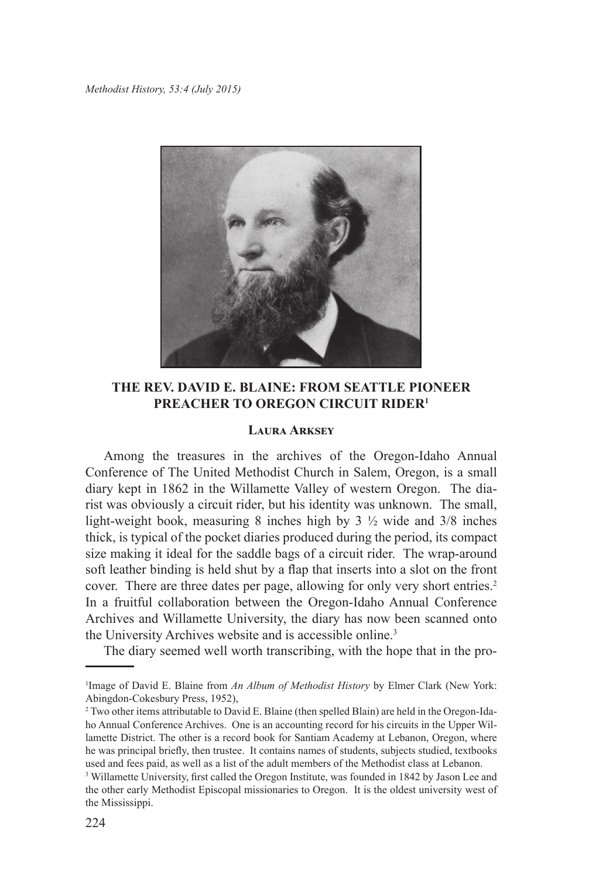*Methodist History, 53:4 (July 2015)* 



## **THE REV. DAVID E. BLAINE: FROM SEATTLE PIONEER PREACHER TO OREGON CIRCUIT RIDER1**

## **Laura Arksey**

Among the treasures in the archives of the Oregon-Idaho Annual Conference of The United Methodist Church in Salem, Oregon, is a small diary kept in 1862 in the Willamette Valley of western Oregon. The diarist was obviously a circuit rider, but his identity was unknown. The small, light-weight book, measuring 8 inches high by 3 ½ wide and 3/8 inches thick, is typical of the pocket diaries produced during the period, its compact size making it ideal for the saddle bags of a circuit rider. The wrap-around soft leather binding is held shut by a flap that inserts into a slot on the front cover. There are three dates per page, allowing for only very short entries.<sup>2</sup> In a fruitful collaboration between the Oregon-Idaho Annual Conference Archives and Willamette University, the diary has now been scanned onto the University Archives website and is accessible online.<sup>3</sup>

The diary seemed well worth transcribing, with the hope that in the pro-

<sup>&</sup>lt;sup>1</sup>Image of David E. Blaine from *An Album of Methodist History* by Elmer Clark (New York: Abingdon-Cokesbury Press, 1952),

<sup>&</sup>lt;sup>2</sup> Two other items attributable to David E. Blaine (then spelled Blain) are held in the Oregon-Idaho Annual Conference Archives. One is an accounting record for his circuits in the Upper Willamette District. The other is a record book for Santiam Academy at Lebanon, Oregon, where he was principal briefly, then trustee. It contains names of students, subjects studied, textbooks used and fees paid, as well as a list of the adult members of the Methodist class at Lebanon.

<sup>&</sup>lt;sup>3</sup> Willamette University, first called the Oregon Institute, was founded in 1842 by Jason Lee and the other early Methodist Episcopal missionaries to Oregon. It is the oldest university west of the Mississippi.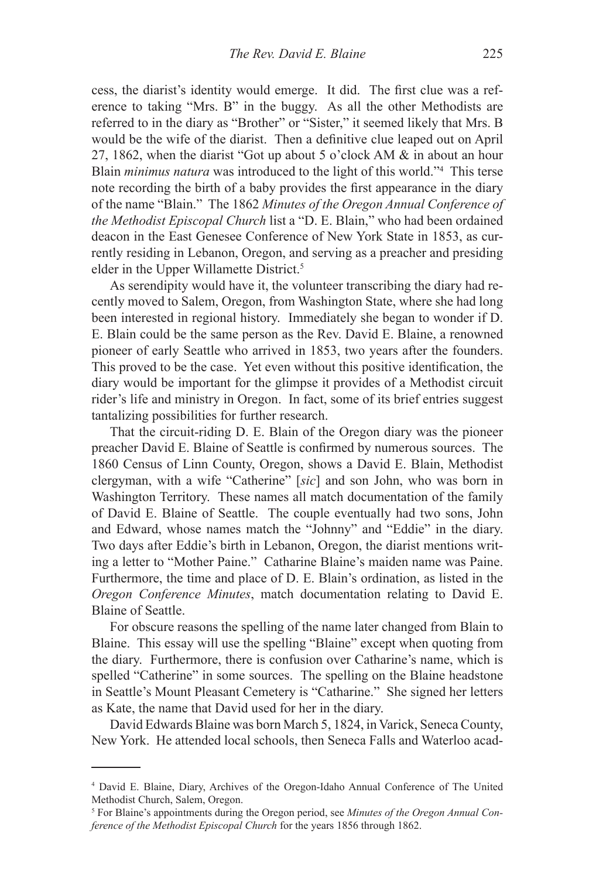cess, the diarist's identity would emerge. It did. The first clue was a reference to taking "Mrs. B" in the buggy. As all the other Methodists are referred to in the diary as "Brother" or "Sister," it seemed likely that Mrs. B would be the wife of the diarist. Then a definitive clue leaped out on April 27, 1862, when the diarist "Got up about 5 o'clock AM & in about an hour Blain *minimus natura* was introduced to the light of this world."<sup>4</sup> This terse note recording the birth of a baby provides the first appearance in the diary of the name "Blain." The 1862 *Minutes of the Oregon Annual Conference of the Methodist Episcopal Church* list a "D. E. Blain," who had been ordained deacon in the East Genesee Conference of New York State in 1853, as currently residing in Lebanon, Oregon, and serving as a preacher and presiding elder in the Upper Willamette District.<sup>5</sup>

As serendipity would have it, the volunteer transcribing the diary had recently moved to Salem, Oregon, from Washington State, where she had long been interested in regional history. Immediately she began to wonder if D. E. Blain could be the same person as the Rev. David E. Blaine, a renowned pioneer of early Seattle who arrived in 1853, two years after the founders. This proved to be the case. Yet even without this positive identification, the diary would be important for the glimpse it provides of a Methodist circuit rider's life and ministry in Oregon. In fact, some of its brief entries suggest tantalizing possibilities for further research.

That the circuit-riding D. E. Blain of the Oregon diary was the pioneer preacher David E. Blaine of Seattle is confirmed by numerous sources. The 1860 Census of Linn County, Oregon, shows a David E. Blain, Methodist clergyman, with a wife "Catherine" [*sic*] and son John, who was born in Washington Territory. These names all match documentation of the family of David E. Blaine of Seattle. The couple eventually had two sons, John and Edward, whose names match the "Johnny" and "Eddie" in the diary. Two days after Eddie's birth in Lebanon, Oregon, the diarist mentions writing a letter to "Mother Paine." Catharine Blaine's maiden name was Paine. Furthermore, the time and place of D. E. Blain's ordination, as listed in the *Oregon Conference Minutes*, match documentation relating to David E. Blaine of Seattle.

For obscure reasons the spelling of the name later changed from Blain to Blaine. This essay will use the spelling "Blaine" except when quoting from the diary. Furthermore, there is confusion over Catharine's name, which is spelled "Catherine" in some sources. The spelling on the Blaine headstone in Seattle's Mount Pleasant Cemetery is "Catharine." She signed her letters as Kate, the name that David used for her in the diary.

David Edwards Blaine was born March 5, 1824, in Varick, Seneca County, New York. He attended local schools, then Seneca Falls and Waterloo acad-

<sup>4</sup> David E. Blaine, Diary, Archives of the Oregon-Idaho Annual Conference of The United Methodist Church, Salem, Oregon.

<sup>5</sup> For Blaine's appointments during the Oregon period, see *Minutes of the Oregon Annual Conference of the Methodist Episcopal Church* for the years 1856 through 1862.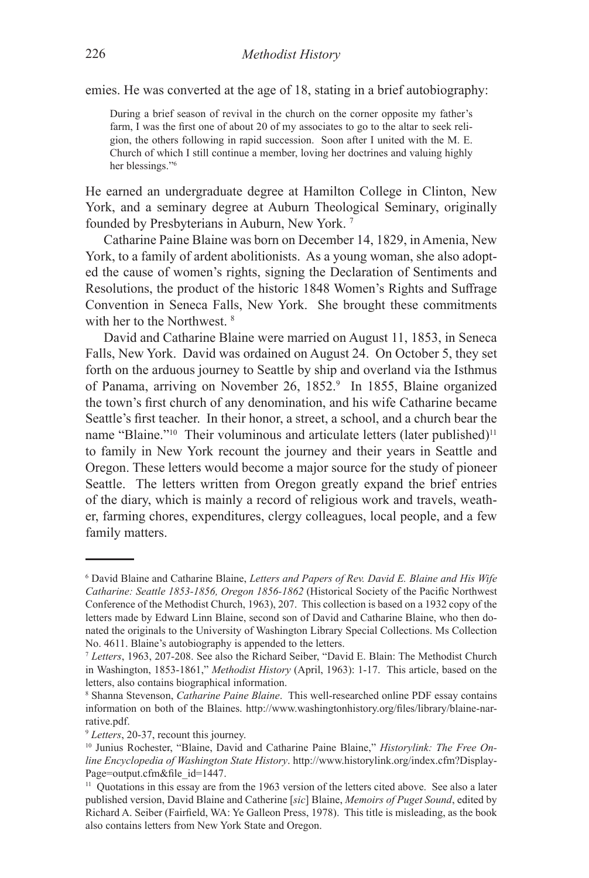emies. He was converted at the age of 18, stating in a brief autobiography:

During a brief season of revival in the church on the corner opposite my father's farm, I was the first one of about 20 of my associates to go to the altar to seek religion, the others following in rapid succession. Soon after I united with the M. E. Church of which I still continue a member, loving her doctrines and valuing highly her blessings."<sup>6</sup>

He earned an undergraduate degree at Hamilton College in Clinton, New York, and a seminary degree at Auburn Theological Seminary, originally founded by Presbyterians in Auburn, New York. 7

Catharine Paine Blaine was born on December 14, 1829, in Amenia, New York, to a family of ardent abolitionists. As a young woman, she also adopted the cause of women's rights, signing the Declaration of Sentiments and Resolutions, the product of the historic 1848 Women's Rights and Suffrage Convention in Seneca Falls, New York. She brought these commitments with her to the Northwest.<sup>8</sup>

David and Catharine Blaine were married on August 11, 1853, in Seneca Falls, New York. David was ordained on August 24. On October 5, they set forth on the arduous journey to Seattle by ship and overland via the Isthmus of Panama, arriving on November 26, 1852.<sup>9</sup> In 1855, Blaine organized the town's first church of any denomination, and his wife Catharine became Seattle's first teacher. In their honor, a street, a school, and a church bear the name "Blaine."<sup>10</sup> Their voluminous and articulate letters (later published)<sup>11</sup> to family in New York recount the journey and their years in Seattle and Oregon. These letters would become a major source for the study of pioneer Seattle. The letters written from Oregon greatly expand the brief entries of the diary, which is mainly a record of religious work and travels, weather, farming chores, expenditures, clergy colleagues, local people, and a few family matters.

<sup>6</sup> David Blaine and Catharine Blaine, *Letters and Papers of Rev. David E. Blaine and His Wife Catharine: Seattle 1853-1856, Oregon 1856-1862* (Historical Society of the Pacific Northwest Conference of the Methodist Church, 1963), 207. This collection is based on a 1932 copy of the letters made by Edward Linn Blaine, second son of David and Catharine Blaine, who then donated the originals to the University of Washington Library Special Collections. Ms Collection No. 4611. Blaine's autobiography is appended to the letters.

<sup>7</sup> *Letters*, 1963, 207-208. See also the Richard Seiber, "David E. Blain: The Methodist Church in Washington, 1853-1861," *Methodist History* (April, 1963): 1-17. This article, based on the letters, also contains biographical information.

<sup>8</sup> Shanna Stevenson, *Catharine Paine Blaine*. This well-researched online PDF essay contains information on both of the Blaines. http://www.washingtonhistory.org/files/library/blaine-narrative.pdf.

<sup>9</sup> *Letters*, 20-37, recount this journey.

<sup>10</sup> Junius Rochester, "Blaine, David and Catharine Paine Blaine," *Historylink: The Free Online Encyclopedia of Washington State History*. http://www.historylink.org/index.cfm?Display-Page=output.cfm&file\_id=1447.

<sup>&</sup>lt;sup>11</sup> Quotations in this essay are from the 1963 version of the letters cited above. See also a later published version, David Blaine and Catherine [*sic*] Blaine, *Memoirs of Puget Sound*, edited by Richard A. Seiber (Fairfield, WA: Ye Galleon Press, 1978). This title is misleading, as the book also contains letters from New York State and Oregon.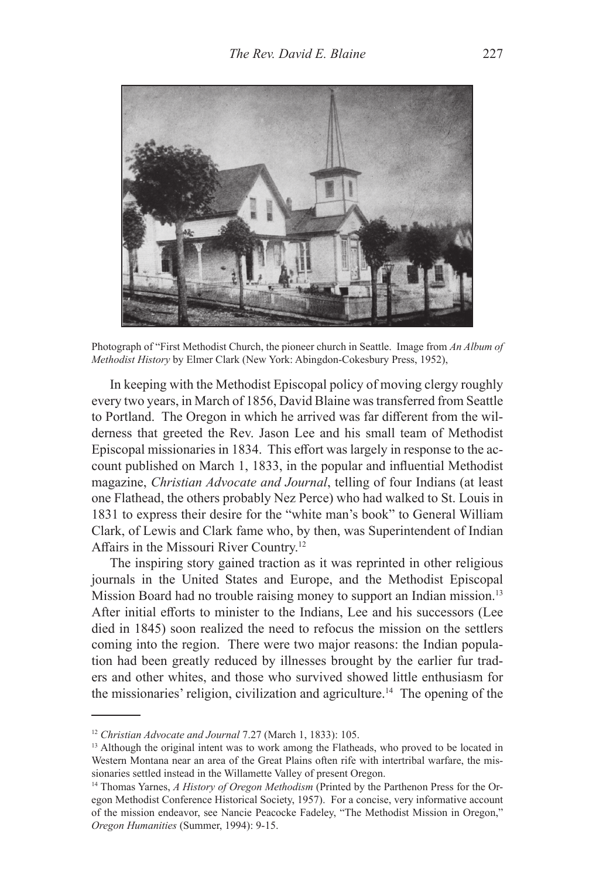

Photograph of "First Methodist Church, the pioneer church in Seattle. Image from *An Album of Methodist History* by Elmer Clark (New York: Abingdon-Cokesbury Press, 1952),

In keeping with the Methodist Episcopal policy of moving clergy roughly every two years, in March of 1856, David Blaine was transferred from Seattle to Portland. The Oregon in which he arrived was far different from the wilderness that greeted the Rev. Jason Lee and his small team of Methodist Episcopal missionaries in 1834. This effort was largely in response to the account published on March 1, 1833, in the popular and influential Methodist magazine, *Christian Advocate and Journal*, telling of four Indians (at least one Flathead, the others probably Nez Perce) who had walked to St. Louis in 1831 to express their desire for the "white man's book" to General William Clark, of Lewis and Clark fame who, by then, was Superintendent of Indian Affairs in the Missouri River Country.12

The inspiring story gained traction as it was reprinted in other religious journals in the United States and Europe, and the Methodist Episcopal Mission Board had no trouble raising money to support an Indian mission.<sup>13</sup> After initial efforts to minister to the Indians, Lee and his successors (Lee died in 1845) soon realized the need to refocus the mission on the settlers coming into the region. There were two major reasons: the Indian population had been greatly reduced by illnesses brought by the earlier fur traders and other whites, and those who survived showed little enthusiasm for the missionaries' religion, civilization and agriculture.<sup>14</sup> The opening of the

<sup>12</sup> *Christian Advocate and Journal* 7.27 (March 1, 1833): 105.

<sup>&</sup>lt;sup>13</sup> Although the original intent was to work among the Flatheads, who proved to be located in Western Montana near an area of the Great Plains often rife with intertribal warfare, the missionaries settled instead in the Willamette Valley of present Oregon.

<sup>14</sup> Thomas Yarnes, *A History of Oregon Methodism* (Printed by the Parthenon Press for the Oregon Methodist Conference Historical Society, 1957). For a concise, very informative account of the mission endeavor, see Nancie Peacocke Fadeley, "The Methodist Mission in Oregon," *Oregon Humanities* (Summer, 1994): 9-15.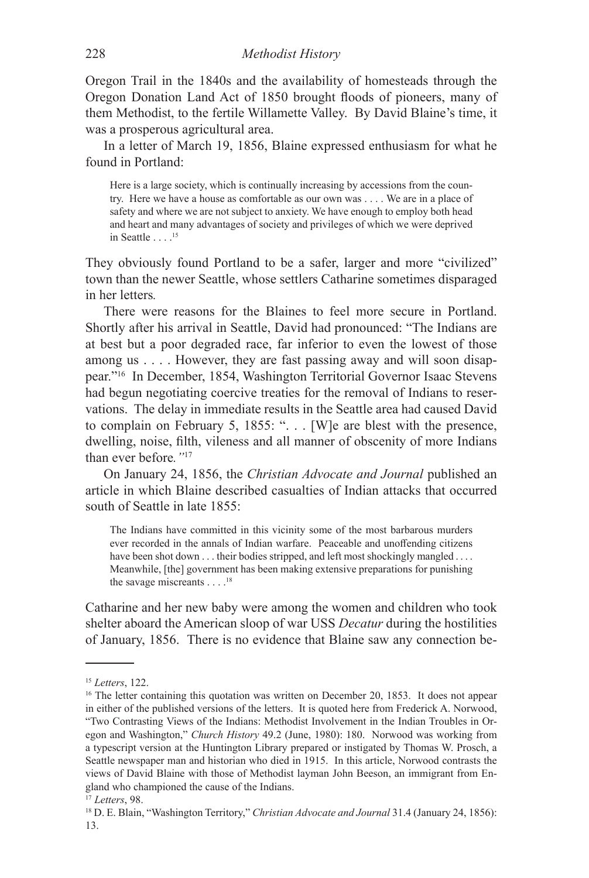Oregon Trail in the 1840s and the availability of homesteads through the Oregon Donation Land Act of 1850 brought floods of pioneers, many of them Methodist, to the fertile Willamette Valley. By David Blaine's time, it was a prosperous agricultural area.

In a letter of March 19, 1856, Blaine expressed enthusiasm for what he found in Portland:

Here is a large society, which is continually increasing by accessions from the country. Here we have a house as comfortable as our own was . . . . We are in a place of safety and where we are not subject to anxiety. We have enough to employ both head and heart and many advantages of society and privileges of which we were deprived in Seattle  $\ldots$ .<sup>15</sup>

They obviously found Portland to be a safer, larger and more "civilized" town than the newer Seattle, whose settlers Catharine sometimes disparaged in her letters*.* 

There were reasons for the Blaines to feel more secure in Portland. Shortly after his arrival in Seattle, David had pronounced: "The Indians are at best but a poor degraded race, far inferior to even the lowest of those among us . . . . However, they are fast passing away and will soon disappear."<sup>16</sup> In December, 1854, Washington Territorial Governor Isaac Stevens had begun negotiating coercive treaties for the removal of Indians to reservations. The delay in immediate results in the Seattle area had caused David to complain on February 5, 1855: ". . . [W]e are blest with the presence, dwelling, noise, filth, vileness and all manner of obscenity of more Indians than ever before*."*<sup>17</sup>

On January 24, 1856, the *Christian Advocate and Journal* published an article in which Blaine described casualties of Indian attacks that occurred south of Seattle in late 1855:

The Indians have committed in this vicinity some of the most barbarous murders ever recorded in the annals of Indian warfare. Peaceable and unoffending citizens have been shot down . . . their bodies stripped, and left most shockingly mangled . . . . Meanwhile, [the] government has been making extensive preparations for punishing the savage miscreants  $\dots$ .<sup>18</sup>

Catharine and her new baby were among the women and children who took shelter aboard the American sloop of war USS *Decatur* during the hostilities of January, 1856. There is no evidence that Blaine saw any connection be-

<sup>15</sup> *Letters*, 122.

<sup>&</sup>lt;sup>16</sup> The letter containing this quotation was written on December 20, 1853. It does not appear in either of the published versions of the letters. It is quoted here from Frederick A. Norwood, "Two Contrasting Views of the Indians: Methodist Involvement in the Indian Troubles in Oregon and Washington," *Church History* 49.2 (June, 1980): 180. Norwood was working from a typescript version at the Huntington Library prepared or instigated by Thomas W. Prosch, a Seattle newspaper man and historian who died in 1915. In this article, Norwood contrasts the views of David Blaine with those of Methodist layman John Beeson, an immigrant from England who championed the cause of the Indians.

<sup>17</sup> *Letters*, 98.

<sup>18</sup> D. E. Blain, "Washington Territory," *Christian Advocate and Journal* 31.4 (January 24, 1856): 13.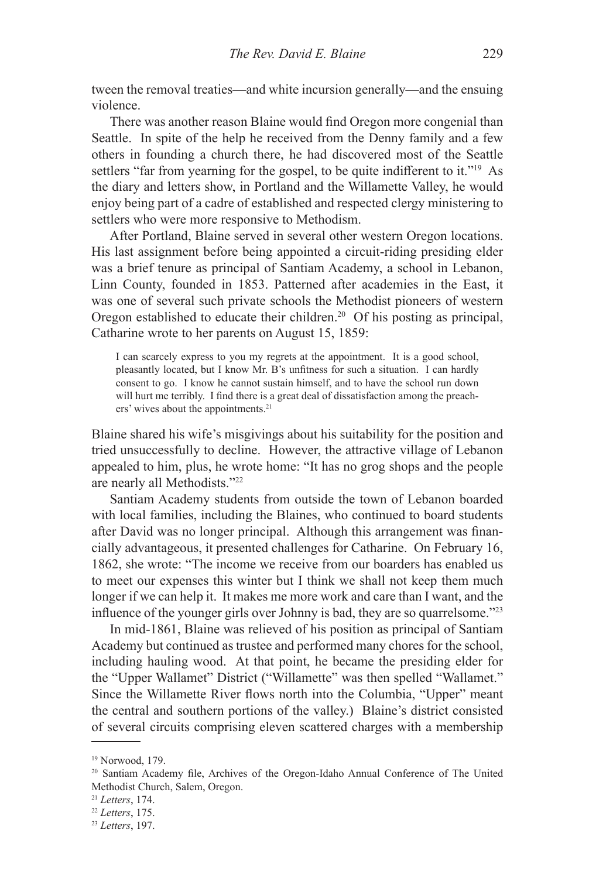tween the removal treaties—and white incursion generally—and the ensuing violence.

There was another reason Blaine would find Oregon more congenial than Seattle. In spite of the help he received from the Denny family and a few others in founding a church there, he had discovered most of the Seattle settlers "far from yearning for the gospel, to be quite indifferent to it."<sup>19</sup> As the diary and letters show, in Portland and the Willamette Valley, he would enjoy being part of a cadre of established and respected clergy ministering to settlers who were more responsive to Methodism.

After Portland, Blaine served in several other western Oregon locations. His last assignment before being appointed a circuit-riding presiding elder was a brief tenure as principal of Santiam Academy, a school in Lebanon, Linn County, founded in 1853. Patterned after academies in the East, it was one of several such private schools the Methodist pioneers of western Oregon established to educate their children.<sup>20</sup> Of his posting as principal, Catharine wrote to her parents on August 15, 1859:

I can scarcely express to you my regrets at the appointment. It is a good school, pleasantly located, but I know Mr. B's unfitness for such a situation. I can hardly consent to go. I know he cannot sustain himself, and to have the school run down will hurt me terribly. I find there is a great deal of dissatisfaction among the preachers' wives about the appointments.<sup>21</sup>

Blaine shared his wife's misgivings about his suitability for the position and tried unsuccessfully to decline. However, the attractive village of Lebanon appealed to him, plus, he wrote home: "It has no grog shops and the people are nearly all Methodists."<sup>22</sup>

Santiam Academy students from outside the town of Lebanon boarded with local families, including the Blaines, who continued to board students after David was no longer principal. Although this arrangement was financially advantageous, it presented challenges for Catharine. On February 16, 1862, she wrote: "The income we receive from our boarders has enabled us to meet our expenses this winter but I think we shall not keep them much longer if we can help it. It makes me more work and care than I want, and the influence of the younger girls over Johnny is bad, they are so quarrelsome."23

In mid-1861, Blaine was relieved of his position as principal of Santiam Academy but continued as trustee and performed many chores for the school, including hauling wood. At that point, he became the presiding elder for the "Upper Wallamet" District ("Willamette" was then spelled "Wallamet." Since the Willamette River flows north into the Columbia, "Upper" meant the central and southern portions of the valley.) Blaine's district consisted of several circuits comprising eleven scattered charges with a membership

<sup>19</sup> Norwood, 179.

<sup>20</sup> Santiam Academy file, Archives of the Oregon-Idaho Annual Conference of The United Methodist Church, Salem, Oregon.

<sup>21</sup> *Letters*, 174.

<sup>22</sup> *Letters*, 175.

<sup>23</sup> *Letters*, 197.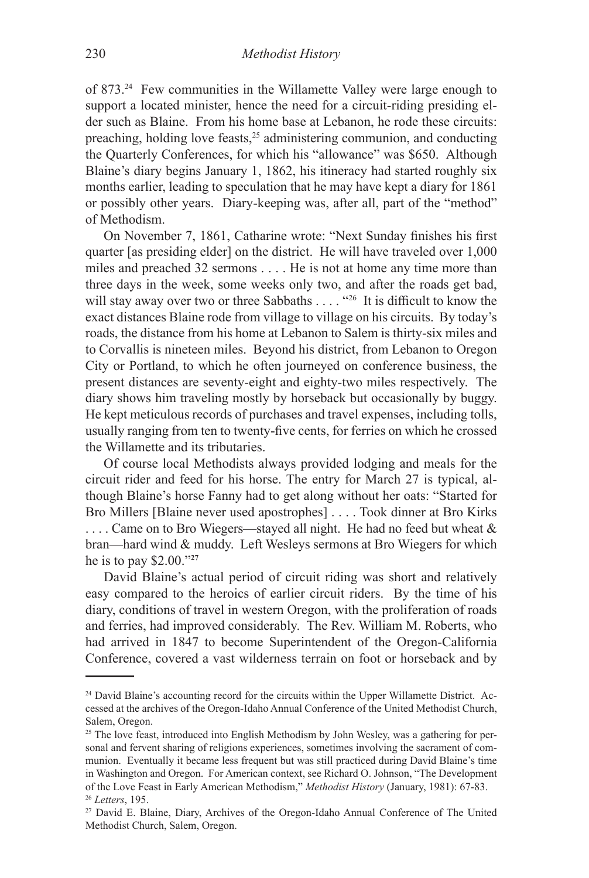of 873.<sup>24</sup> Few communities in the Willamette Valley were large enough to support a located minister, hence the need for a circuit-riding presiding elder such as Blaine. From his home base at Lebanon, he rode these circuits: preaching, holding love feasts,<sup>25</sup> administering communion, and conducting the Quarterly Conferences, for which his "allowance" was \$650. Although Blaine's diary begins January 1, 1862, his itineracy had started roughly six months earlier, leading to speculation that he may have kept a diary for 1861 or possibly other years. Diary-keeping was, after all, part of the "method" of Methodism.

On November 7, 1861, Catharine wrote: "Next Sunday finishes his first quarter [as presiding elder] on the district. He will have traveled over 1,000 miles and preached 32 sermons . . . . He is not at home any time more than three days in the week, some weeks only two, and after the roads get bad, will stay away over two or three Sabbaths . . . . "<sup>26</sup> It is difficult to know the exact distances Blaine rode from village to village on his circuits. By today's roads, the distance from his home at Lebanon to Salem is thirty-six miles and to Corvallis is nineteen miles. Beyond his district, from Lebanon to Oregon City or Portland, to which he often journeyed on conference business, the present distances are seventy-eight and eighty-two miles respectively. The diary shows him traveling mostly by horseback but occasionally by buggy. He kept meticulous records of purchases and travel expenses, including tolls, usually ranging from ten to twenty-five cents, for ferries on which he crossed the Willamette and its tributaries.

Of course local Methodists always provided lodging and meals for the circuit rider and feed for his horse. The entry for March 27 is typical, although Blaine's horse Fanny had to get along without her oats: "Started for Bro Millers [Blaine never used apostrophes] . . . . Took dinner at Bro Kirks ... Came on to Bro Wiegers—stayed all night. He had no feed but wheat & bran—hard wind & muddy. Left Wesleys sermons at Bro Wiegers for which he is to pay \$2.00."**<sup>27</sup>**

David Blaine's actual period of circuit riding was short and relatively easy compared to the heroics of earlier circuit riders. By the time of his diary, conditions of travel in western Oregon, with the proliferation of roads and ferries, had improved considerably. The Rev. William M. Roberts, who had arrived in 1847 to become Superintendent of the Oregon-California Conference, covered a vast wilderness terrain on foot or horseback and by

<sup>&</sup>lt;sup>24</sup> David Blaine's accounting record for the circuits within the Upper Willamette District. Accessed at the archives of the Oregon-Idaho Annual Conference of the United Methodist Church, Salem, Oregon.

 $25$  The love feast, introduced into English Methodism by John Wesley, was a gathering for personal and fervent sharing of religions experiences, sometimes involving the sacrament of communion. Eventually it became less frequent but was still practiced during David Blaine's time in Washington and Oregon. For American context, see Richard O. Johnson, "The Development of the Love Feast in Early American Methodism," *Methodist History* (January, 1981): 67-83. <sup>26</sup> *Letters*, 195.

<sup>27</sup> David E. Blaine, Diary, Archives of the Oregon-Idaho Annual Conference of The United Methodist Church, Salem, Oregon.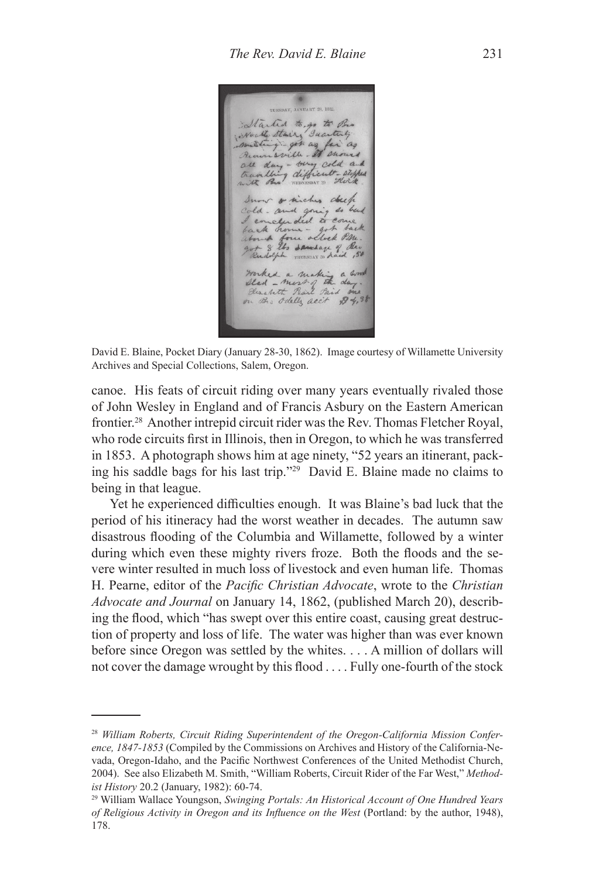THESDAY, JANUARY 28, 1802. Martid to so to Pro<br>North Stair, Indicaty<br>Main sville . It as fair as all day - bury cold and<br>travelling difficult - stopped<br>with Bus without & Hock Snow & inches duf Cold- and going so be I concluded to come fan chamaled to come the the day of the day of the same of the same of the said , so Morked a mathing a word<br>Ilad - Merit of the day.<br>Herebeth Rail Paid me

David E. Blaine, Pocket Diary (January 28-30, 1862). Image courtesy of Willamette University Archives and Special Collections, Salem, Oregon.

canoe. His feats of circuit riding over many years eventually rivaled those of John Wesley in England and of Francis Asbury on the Eastern American frontier.<sup>28</sup> Another intrepid circuit rider was the Rev. Thomas Fletcher Royal, who rode circuits first in Illinois, then in Oregon, to which he was transferred in 1853. A photograph shows him at age ninety, "52 years an itinerant, packing his saddle bags for his last trip."29 David E. Blaine made no claims to being in that league.

Yet he experienced difficulties enough. It was Blaine's bad luck that the period of his itineracy had the worst weather in decades. The autumn saw disastrous flooding of the Columbia and Willamette, followed by a winter during which even these mighty rivers froze. Both the floods and the severe winter resulted in much loss of livestock and even human life. Thomas H. Pearne, editor of the *Pacific Christian Advocate*, wrote to the *Christian Advocate and Journal* on January 14, 1862, (published March 20), describing the flood, which "has swept over this entire coast, causing great destruction of property and loss of life. The water was higher than was ever known before since Oregon was settled by the whites. . . . A million of dollars will not cover the damage wrought by this flood . . . . Fully one-fourth of the stock

<sup>28</sup> *William Roberts, Circuit Riding Superintendent of the Oregon-California Mission Conference, 1847-1853* (Compiled by the Commissions on Archives and History of the California-Nevada, Oregon-Idaho, and the Pacific Northwest Conferences of the United Methodist Church, 2004). See also Elizabeth M. Smith, "William Roberts, Circuit Rider of the Far West," *Methodist History* 20.2 (January, 1982): 60-74.

<sup>29</sup> William Wallace Youngson, *Swinging Portals: An Historical Account of One Hundred Years of Religious Activity in Oregon and its Influence on the West* (Portland: by the author, 1948), 178.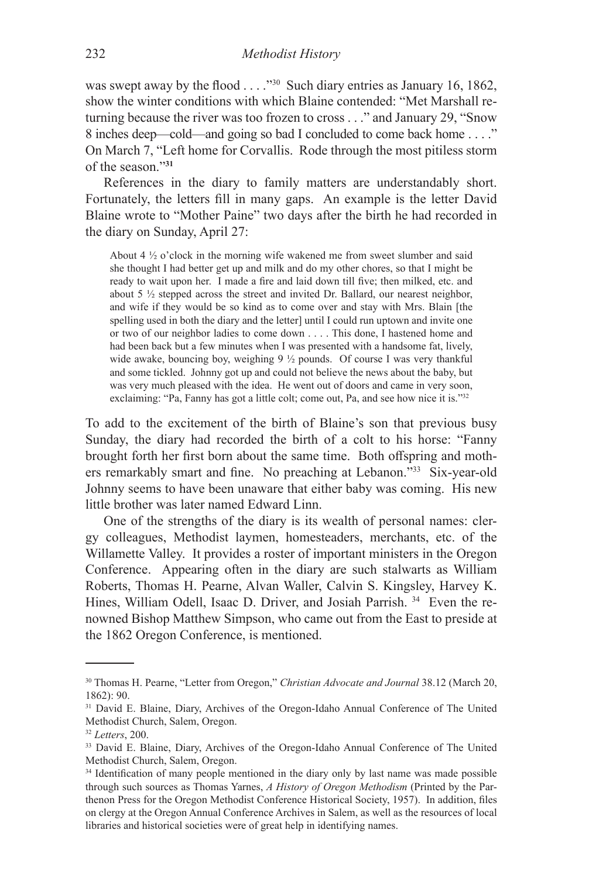was swept away by the flood . . . . "<sup>30</sup> Such diary entries as January 16, 1862, show the winter conditions with which Blaine contended: "Met Marshall returning because the river was too frozen to cross . . ." and January 29, "Snow 8 inches deep—cold—and going so bad I concluded to come back home . . . ." On March 7, "Left home for Corvallis. Rode through the most pitiless storm of the season."**<sup>31</sup>**

References in the diary to family matters are understandably short. Fortunately, the letters fill in many gaps. An example is the letter David Blaine wrote to "Mother Paine" two days after the birth he had recorded in the diary on Sunday, April 27:

About 4 ½ o'clock in the morning wife wakened me from sweet slumber and said she thought I had better get up and milk and do my other chores, so that I might be ready to wait upon her. I made a fire and laid down till five; then milked, etc. and about 5 ½ stepped across the street and invited Dr. Ballard, our nearest neighbor, and wife if they would be so kind as to come over and stay with Mrs. Blain [the spelling used in both the diary and the letter] until I could run uptown and invite one or two of our neighbor ladies to come down . . . . This done, I hastened home and had been back but a few minutes when I was presented with a handsome fat, lively, wide awake, bouncing boy, weighing  $9 \frac{1}{2}$  pounds. Of course I was very thankful and some tickled. Johnny got up and could not believe the news about the baby, but was very much pleased with the idea. He went out of doors and came in very soon, exclaiming: "Pa, Fanny has got a little colt; come out, Pa, and see how nice it is."<sup>32</sup>

To add to the excitement of the birth of Blaine's son that previous busy Sunday, the diary had recorded the birth of a colt to his horse: "Fanny brought forth her first born about the same time. Both offspring and mothers remarkably smart and fine. No preaching at Lebanon."33 Six-year-old Johnny seems to have been unaware that either baby was coming. His new little brother was later named Edward Linn.

One of the strengths of the diary is its wealth of personal names: clergy colleagues, Methodist laymen, homesteaders, merchants, etc. of the Willamette Valley. It provides a roster of important ministers in the Oregon Conference. Appearing often in the diary are such stalwarts as William Roberts, Thomas H. Pearne, Alvan Waller, Calvin S. Kingsley, Harvey K. Hines, William Odell, Isaac D. Driver, and Josiah Parrish.<sup>34</sup> Even the renowned Bishop Matthew Simpson, who came out from the East to preside at the 1862 Oregon Conference, is mentioned.

<sup>30</sup> Thomas H. Pearne, "Letter from Oregon," *Christian Advocate and Journal* 38.12 (March 20, 1862): 90.

<sup>&</sup>lt;sup>31</sup> David E. Blaine, Diary, Archives of the Oregon-Idaho Annual Conference of The United Methodist Church, Salem, Oregon.

<sup>32</sup> *Letters*, 200.

<sup>33</sup> David E. Blaine, Diary, Archives of the Oregon-Idaho Annual Conference of The United Methodist Church, Salem, Oregon.

<sup>&</sup>lt;sup>34</sup> Identification of many people mentioned in the diary only by last name was made possible through such sources as Thomas Yarnes, *A History of Oregon Methodism* (Printed by the Parthenon Press for the Oregon Methodist Conference Historical Society, 1957). In addition, files on clergy at the Oregon Annual Conference Archives in Salem, as well as the resources of local libraries and historical societies were of great help in identifying names.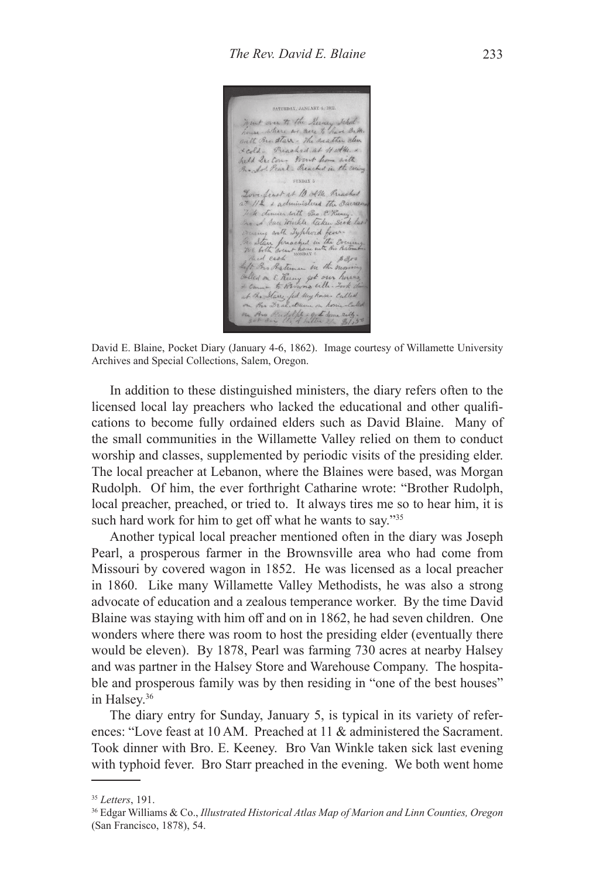Mout over to the Reevey School.<br>house Marc on more to have D.M.<br>with Pro starr - The mather clear with monday - me wearner can<br>I cold - Breached at 11 other &<br>held Ir: Cour - Wout home with SUNDAY & Love. feast at 10 AM. Reached at 112 & administered the Sacran Took dinner with Bro & Keny re in the Typhord fever in the Country ed cash  $8850$ no Bateman in the morning culled on E. Keeny got our horses at the Starry fed My house - Called Pro Dral. Dunn on home-Cule Deal wound on home to

David E. Blaine, Pocket Diary (January 4-6, 1862). Image courtesy of Willamette University Archives and Special Collections, Salem, Oregon.

In addition to these distinguished ministers, the diary refers often to the licensed local lay preachers who lacked the educational and other qualifications to become fully ordained elders such as David Blaine. Many of the small communities in the Willamette Valley relied on them to conduct worship and classes, supplemented by periodic visits of the presiding elder. The local preacher at Lebanon, where the Blaines were based, was Morgan Rudolph. Of him, the ever forthright Catharine wrote: "Brother Rudolph, local preacher, preached, or tried to. It always tires me so to hear him, it is such hard work for him to get off what he wants to say."<sup>35</sup>

Another typical local preacher mentioned often in the diary was Joseph Pearl, a prosperous farmer in the Brownsville area who had come from Missouri by covered wagon in 1852. He was licensed as a local preacher in 1860. Like many Willamette Valley Methodists, he was also a strong advocate of education and a zealous temperance worker. By the time David Blaine was staying with him off and on in 1862, he had seven children. One wonders where there was room to host the presiding elder (eventually there would be eleven). By 1878, Pearl was farming 730 acres at nearby Halsey and was partner in the Halsey Store and Warehouse Company. The hospitable and prosperous family was by then residing in "one of the best houses" in Halsey.36

The diary entry for Sunday, January 5, is typical in its variety of references: "Love feast at 10 AM. Preached at 11 & administered the Sacrament. Took dinner with Bro. E. Keeney. Bro Van Winkle taken sick last evening with typhoid fever. Bro Starr preached in the evening. We both went home

<sup>35</sup> *Letters*, 191.

<sup>36</sup> Edgar Williams & Co., *Illustrated Historical Atlas Map of Marion and Linn Counties, Oregon* (San Francisco, 1878), 54.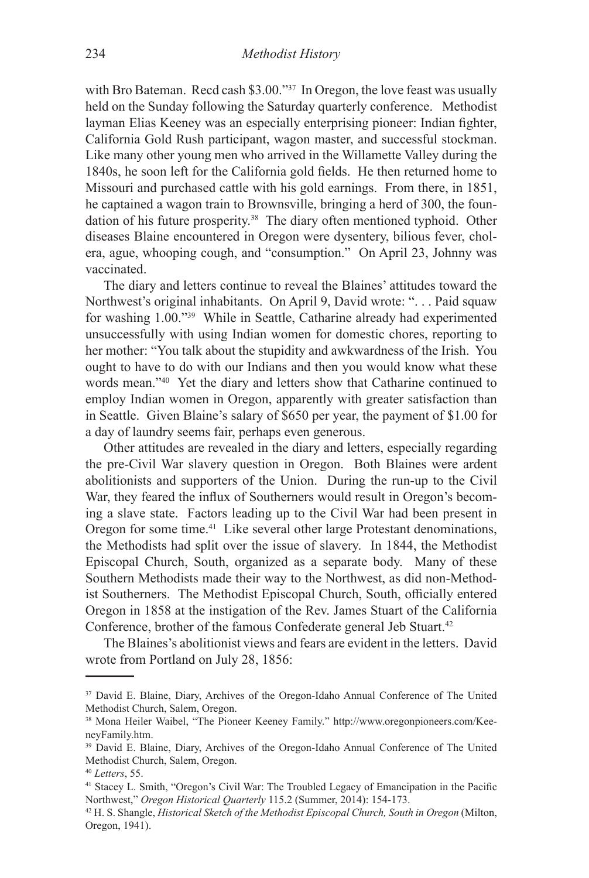with Bro Bateman. Recd cash \$3.00."<sup>37</sup> In Oregon, the love feast was usually held on the Sunday following the Saturday quarterly conference. Methodist layman Elias Keeney was an especially enterprising pioneer: Indian fighter, California Gold Rush participant, wagon master, and successful stockman. Like many other young men who arrived in the Willamette Valley during the 1840s, he soon left for the California gold fields. He then returned home to Missouri and purchased cattle with his gold earnings. From there, in 1851, he captained a wagon train to Brownsville, bringing a herd of 300, the foundation of his future prosperity.<sup>38</sup> The diary often mentioned typhoid. Other diseases Blaine encountered in Oregon were dysentery, bilious fever, cholera, ague, whooping cough, and "consumption." On April 23, Johnny was vaccinated.

The diary and letters continue to reveal the Blaines' attitudes toward the Northwest's original inhabitants. On April 9, David wrote: ". . . Paid squaw for washing 1.00."39 While in Seattle, Catharine already had experimented unsuccessfully with using Indian women for domestic chores, reporting to her mother: "You talk about the stupidity and awkwardness of the Irish. You ought to have to do with our Indians and then you would know what these words mean."<sup>40</sup> Yet the diary and letters show that Catharine continued to employ Indian women in Oregon, apparently with greater satisfaction than in Seattle. Given Blaine's salary of \$650 per year, the payment of \$1.00 for a day of laundry seems fair, perhaps even generous.

Other attitudes are revealed in the diary and letters, especially regarding the pre-Civil War slavery question in Oregon. Both Blaines were ardent abolitionists and supporters of the Union. During the run-up to the Civil War, they feared the influx of Southerners would result in Oregon's becoming a slave state. Factors leading up to the Civil War had been present in Oregon for some time.<sup>41</sup> Like several other large Protestant denominations, the Methodists had split over the issue of slavery. In 1844, the Methodist Episcopal Church, South, organized as a separate body. Many of these Southern Methodists made their way to the Northwest, as did non-Methodist Southerners. The Methodist Episcopal Church, South, officially entered Oregon in 1858 at the instigation of the Rev. James Stuart of the California Conference, brother of the famous Confederate general Jeb Stuart.<sup>42</sup>

The Blaines's abolitionist views and fears are evident in the letters. David wrote from Portland on July 28, 1856:

<sup>&</sup>lt;sup>37</sup> David E. Blaine, Diary, Archives of the Oregon-Idaho Annual Conference of The United Methodist Church, Salem, Oregon.

<sup>38</sup> Mona Heiler Waibel, "The Pioneer Keeney Family." http://www.oregonpioneers.com/KeeneyFamily.htm.

<sup>39</sup> David E. Blaine, Diary, Archives of the Oregon-Idaho Annual Conference of The United Methodist Church, Salem, Oregon.

<sup>40</sup> *Letters*, 55.

<sup>41</sup> Stacey L. Smith, "Oregon's Civil War: The Troubled Legacy of Emancipation in the Pacific Northwest," *Oregon Historical Quarterly* 115.2 (Summer, 2014): 154-173.

<sup>42</sup> H. S. Shangle, *Historical Sketch of the Methodist Episcopal Church, South in Oregon* (Milton, Oregon, 1941).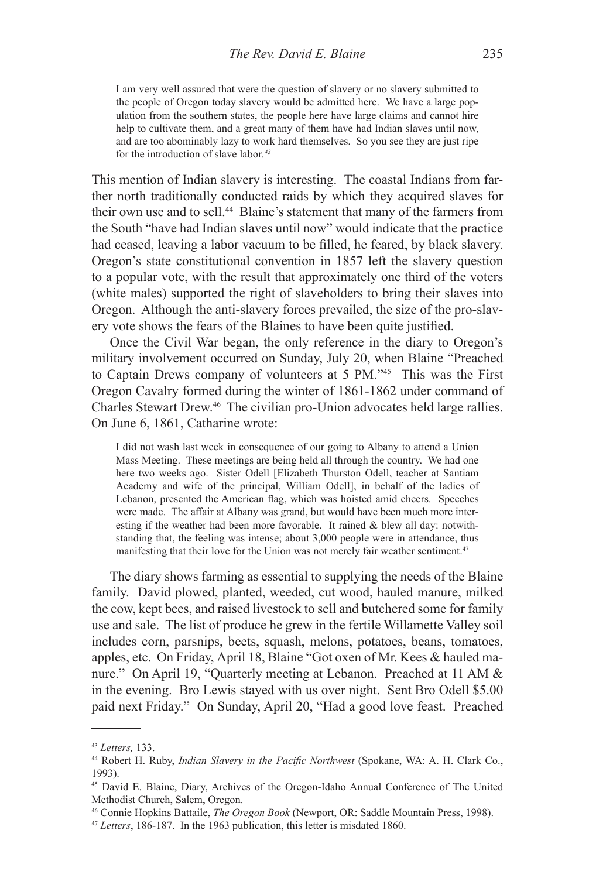I am very well assured that were the question of slavery or no slavery submitted to the people of Oregon today slavery would be admitted here. We have a large population from the southern states, the people here have large claims and cannot hire help to cultivate them, and a great many of them have had Indian slaves until now, and are too abominably lazy to work hard themselves. So you see they are just ripe for the introduction of slave labor*. 43*

This mention of Indian slavery is interesting. The coastal Indians from farther north traditionally conducted raids by which they acquired slaves for their own use and to sell.<sup>44</sup> Blaine's statement that many of the farmers from the South "have had Indian slaves until now" would indicate that the practice had ceased, leaving a labor vacuum to be filled, he feared, by black slavery. Oregon's state constitutional convention in 1857 left the slavery question to a popular vote, with the result that approximately one third of the voters (white males) supported the right of slaveholders to bring their slaves into Oregon. Although the anti-slavery forces prevailed, the size of the pro-slavery vote shows the fears of the Blaines to have been quite justified.

Once the Civil War began, the only reference in the diary to Oregon's military involvement occurred on Sunday, July 20, when Blaine "Preached to Captain Drews company of volunteers at 5 PM."<sup>45</sup> This was the First Oregon Cavalry formed during the winter of 1861-1862 under command of Charles Stewart Drew.<sup>46</sup> The civilian pro-Union advocates held large rallies. On June 6, 1861, Catharine wrote:

I did not wash last week in consequence of our going to Albany to attend a Union Mass Meeting. These meetings are being held all through the country. We had one here two weeks ago. Sister Odell [Elizabeth Thurston Odell, teacher at Santiam Academy and wife of the principal, William Odell], in behalf of the ladies of Lebanon, presented the American flag, which was hoisted amid cheers. Speeches were made. The affair at Albany was grand, but would have been much more interesting if the weather had been more favorable. It rained & blew all day: notwithstanding that, the feeling was intense; about 3,000 people were in attendance, thus manifesting that their love for the Union was not merely fair weather sentiment.<sup>47</sup>

The diary shows farming as essential to supplying the needs of the Blaine family. David plowed, planted, weeded, cut wood, hauled manure, milked the cow, kept bees, and raised livestock to sell and butchered some for family use and sale. The list of produce he grew in the fertile Willamette Valley soil includes corn, parsnips, beets, squash, melons, potatoes, beans, tomatoes, apples, etc.On Friday, April 18, Blaine "Got oxen of Mr. Kees & hauled manure." On April 19, "Quarterly meeting at Lebanon. Preached at 11 AM & in the evening. Bro Lewis stayed with us over night. Sent Bro Odell \$5.00 paid next Friday." On Sunday, April 20, "Had a good love feast. Preached

<sup>43</sup> *Letters,* 133.

<sup>44</sup> Robert H. Ruby, *Indian Slavery in the Pacific Northwest* (Spokane, WA: A. H. Clark Co., 1993).

<sup>45</sup> David E. Blaine, Diary, Archives of the Oregon-Idaho Annual Conference of The United Methodist Church, Salem, Oregon.

<sup>46</sup> Connie Hopkins Battaile, *The Oregon Book* (Newport, OR: Saddle Mountain Press, 1998).

<sup>47</sup> *Letters*, 186-187. In the 1963 publication, this letter is misdated 1860.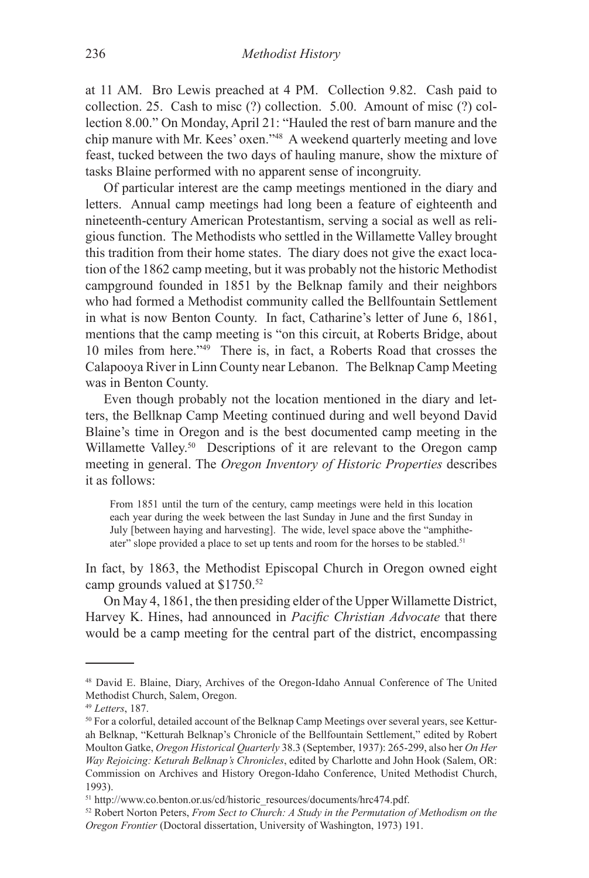at 11 AM. Bro Lewis preached at 4 PM. Collection 9.82. Cash paid to collection. 25. Cash to misc (?) collection. 5.00. Amount of misc (?) collection 8.00." On Monday, April 21: "Hauled the rest of barn manure and the chip manure with Mr. Kees' oxen."<sup>48</sup> A weekend quarterly meeting and love feast, tucked between the two days of hauling manure, show the mixture of tasks Blaine performed with no apparent sense of incongruity.

Of particular interest are the camp meetings mentioned in the diary and letters. Annual camp meetings had long been a feature of eighteenth and nineteenth-century American Protestantism, serving a social as well as religious function. The Methodists who settled in the Willamette Valley brought this tradition from their home states. The diary does not give the exact location of the 1862 camp meeting, but it was probably not the historic Methodist campground founded in 1851 by the Belknap family and their neighbors who had formed a Methodist community called the Bellfountain Settlement in what is now Benton County. In fact, Catharine's letter of June 6, 1861, mentions that the camp meeting is "on this circuit, at Roberts Bridge, about 10 miles from here."49 There is, in fact, a Roberts Road that crosses the Calapooya River in Linn County near Lebanon. The Belknap Camp Meeting was in Benton County.

Even though probably not the location mentioned in the diary and letters, the Bellknap Camp Meeting continued during and well beyond David Blaine's time in Oregon and is the best documented camp meeting in the Willamette Valley.<sup>50</sup> Descriptions of it are relevant to the Oregon camp meeting in general. The *Oregon Inventory of Historic Properties* describes it as follows:

From 1851 until the turn of the century, camp meetings were held in this location each year during the week between the last Sunday in June and the first Sunday in July [between haying and harvesting]. The wide, level space above the "amphitheater" slope provided a place to set up tents and room for the horses to be stabled.<sup>51</sup>

In fact, by 1863, the Methodist Episcopal Church in Oregon owned eight camp grounds valued at \$1750.52

On May 4, 1861, the then presiding elder of the Upper Willamette District, Harvey K. Hines, had announced in *Pacific Christian Advocate* that there would be a camp meeting for the central part of the district, encompassing

<sup>48</sup> David E. Blaine, Diary, Archives of the Oregon-Idaho Annual Conference of The United Methodist Church, Salem, Oregon.

<sup>49</sup> *Letters*, 187.

<sup>&</sup>lt;sup>50</sup> For a colorful, detailed account of the Belknap Camp Meetings over several years, see Ketturah Belknap, "Ketturah Belknap's Chronicle of the Bellfountain Settlement," edited by Robert Moulton Gatke, *Oregon Historical Quarterly* 38.3 (September, 1937): 265-299, also her *On Her Way Rejoicing: Keturah Belknap's Chronicles*, edited by Charlotte and John Hook (Salem, OR: Commission on Archives and History Oregon-Idaho Conference, United Methodist Church, 1993).

<sup>51</sup> http://www.co.benton.or.us/cd/historic\_resources/documents/hrc474.pdf.

<sup>52</sup> Robert Norton Peters, *From Sect to Church: A Study in the Permutation of Methodism on the Oregon Frontier* (Doctoral dissertation, University of Washington, 1973) 191.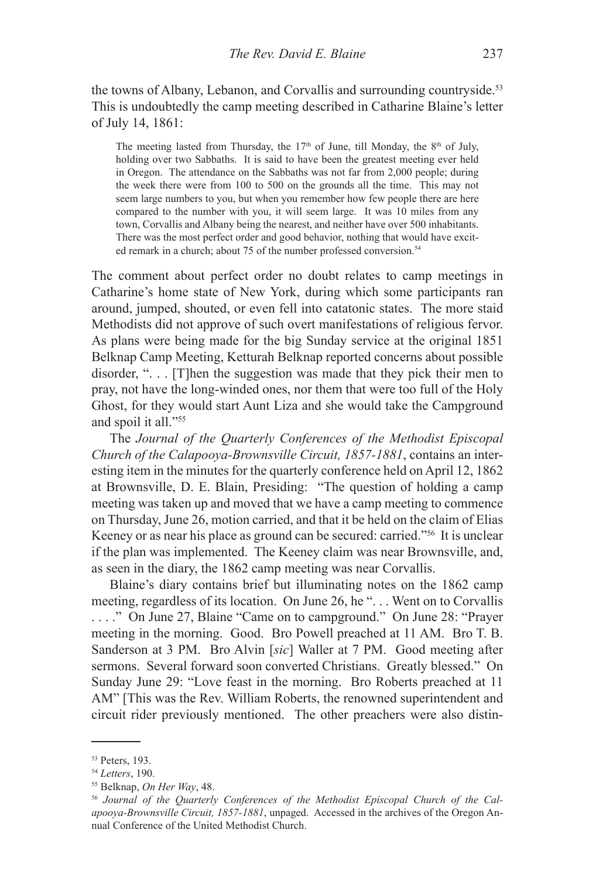the towns of Albany, Lebanon, and Corvallis and surrounding countryside.<sup>53</sup> This is undoubtedly the camp meeting described in Catharine Blaine's letter of July 14, 1861:

The meeting lasted from Thursday, the 17<sup>th</sup> of June, till Monday, the 8<sup>th</sup> of July, holding over two Sabbaths. It is said to have been the greatest meeting ever held in Oregon. The attendance on the Sabbaths was not far from 2,000 people; during the week there were from 100 to 500 on the grounds all the time. This may not seem large numbers to you, but when you remember how few people there are here compared to the number with you, it will seem large. It was 10 miles from any town, Corvallis and Albany being the nearest, and neither have over 500 inhabitants. There was the most perfect order and good behavior, nothing that would have excited remark in a church; about 75 of the number professed conversion.<sup>54</sup>

The comment about perfect order no doubt relates to camp meetings in Catharine's home state of New York, during which some participants ran around, jumped, shouted, or even fell into catatonic states. The more staid Methodists did not approve of such overt manifestations of religious fervor. As plans were being made for the big Sunday service at the original 1851 Belknap Camp Meeting, Ketturah Belknap reported concerns about possible disorder, ". . . [T]hen the suggestion was made that they pick their men to pray, not have the long-winded ones, nor them that were too full of the Holy Ghost, for they would start Aunt Liza and she would take the Campground and spoil it all."<sup>55</sup>

The *Journal of the Quarterly Conferences of the Methodist Episcopal Church of the Calapooya-Brownsville Circuit, 1857-1881*, contains an interesting item in the minutes for the quarterly conference held on April 12, 1862 at Brownsville, D. E. Blain, Presiding: "The question of holding a camp meeting was taken up and moved that we have a camp meeting to commence on Thursday, June 26, motion carried, and that it be held on the claim of Elias Keeney or as near his place as ground can be secured: carried."<sup>56</sup> It is unclear if the plan was implemented. The Keeney claim was near Brownsville, and, as seen in the diary, the 1862 camp meeting was near Corvallis.

Blaine's diary contains brief but illuminating notes on the 1862 camp meeting, regardless of its location. On June 26, he ". . . Went on to Corvallis . . . ." On June 27, Blaine "Came on to campground." On June 28: "Prayer meeting in the morning. Good. Bro Powell preached at 11 AM. Bro T. B. Sanderson at 3 PM. Bro Alvin [*sic*] Waller at 7 PM. Good meeting after sermons. Several forward soon converted Christians. Greatly blessed." On Sunday June 29: "Love feast in the morning. Bro Roberts preached at 11 AM" [This was the Rev. William Roberts, the renowned superintendent and circuit rider previously mentioned. The other preachers were also distin-

<sup>53</sup> Peters, 193.

<sup>54</sup> *Letters*, 190.

<sup>55</sup> Belknap, *On Her Way*, 48.

<sup>56</sup> *Journal of the Quarterly Conferences of the Methodist Episcopal Church of the Calapooya-Brownsville Circuit, 1857-1881*, unpaged. Accessed in the archives of the Oregon Annual Conference of the United Methodist Church.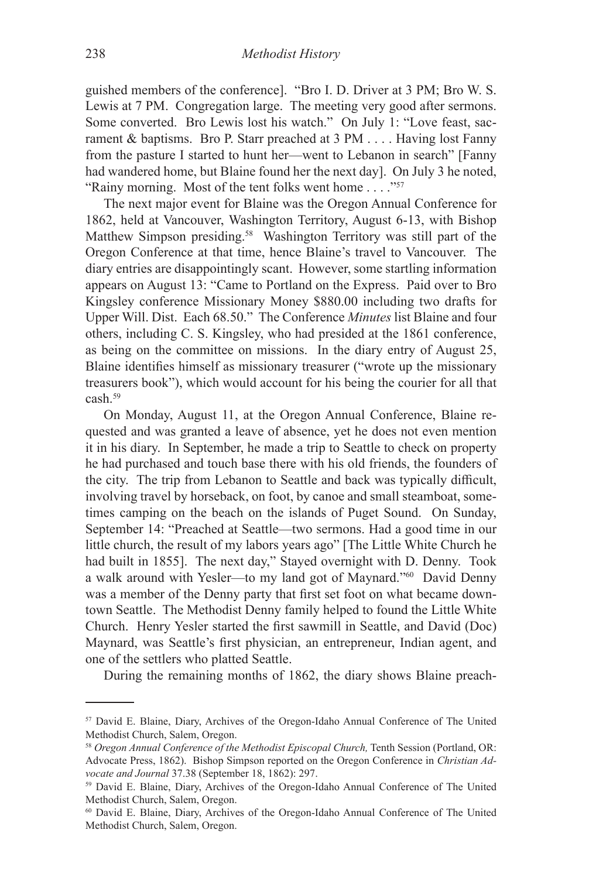guished members of the conference]. "Bro I. D. Driver at 3 PM; Bro W. S. Lewis at 7 PM. Congregation large. The meeting very good after sermons. Some converted. Bro Lewis lost his watch." On July 1: "Love feast, sacrament & baptisms. Bro P. Starr preached at 3 PM . . . . Having lost Fanny from the pasture I started to hunt her—went to Lebanon in search" [Fanny had wandered home, but Blaine found her the next day]. On July 3 he noted, "Rainy morning. Most of the tent folks went home . . . ."57

The next major event for Blaine was the Oregon Annual Conference for 1862, held at Vancouver, Washington Territory, August 6-13, with Bishop Matthew Simpson presiding.<sup>58</sup> Washington Territory was still part of the Oregon Conference at that time, hence Blaine's travel to Vancouver. The diary entries are disappointingly scant. However, some startling information appears on August 13: "Came to Portland on the Express. Paid over to Bro Kingsley conference Missionary Money \$880.00 including two drafts for Upper Will. Dist. Each 68.50."The Conference *Minutes* list Blaine and four others, including C. S. Kingsley, who had presided at the 1861 conference, as being on the committee on missions. In the diary entry of August 25, Blaine identifies himself as missionary treasurer ("wrote up the missionary treasurers book"), which would account for his being the courier for all that cash.59

On Monday, August 11, at the Oregon Annual Conference, Blaine requested and was granted a leave of absence, yet he does not even mention it in his diary. In September, he made a trip to Seattle to check on property he had purchased and touch base there with his old friends, the founders of the city. The trip from Lebanon to Seattle and back was typically difficult, involving travel by horseback, on foot, by canoe and small steamboat, sometimes camping on the beach on the islands of Puget Sound. On Sunday, September 14: "Preached at Seattle—two sermons. Had a good time in our little church, the result of my labors years ago" [The Little White Church he had built in 1855]. The next day," Stayed overnight with D. Denny. Took a walk around with Yesler—to my land got of Maynard."<sup>60</sup>David Denny was a member of the Denny party that first set foot on what became downtown Seattle. The Methodist Denny family helped to found the Little White Church. Henry Yesler started the first sawmill in Seattle, and David (Doc) Maynard, was Seattle's first physician, an entrepreneur, Indian agent, and one of the settlers who platted Seattle.

During the remaining months of 1862, the diary shows Blaine preach-

<sup>57</sup> David E. Blaine, Diary, Archives of the Oregon-Idaho Annual Conference of The United Methodist Church, Salem, Oregon.

<sup>58</sup> *Oregon Annual Conference of the Methodist Episcopal Church,* Tenth Session (Portland, OR: Advocate Press, 1862). Bishop Simpson reported on the Oregon Conference in *Christian Advocate and Journal* 37.38 (September 18, 1862): 297.

<sup>59</sup> David E. Blaine, Diary, Archives of the Oregon-Idaho Annual Conference of The United Methodist Church, Salem, Oregon.

<sup>60</sup> David E. Blaine, Diary, Archives of the Oregon-Idaho Annual Conference of The United Methodist Church, Salem, Oregon.